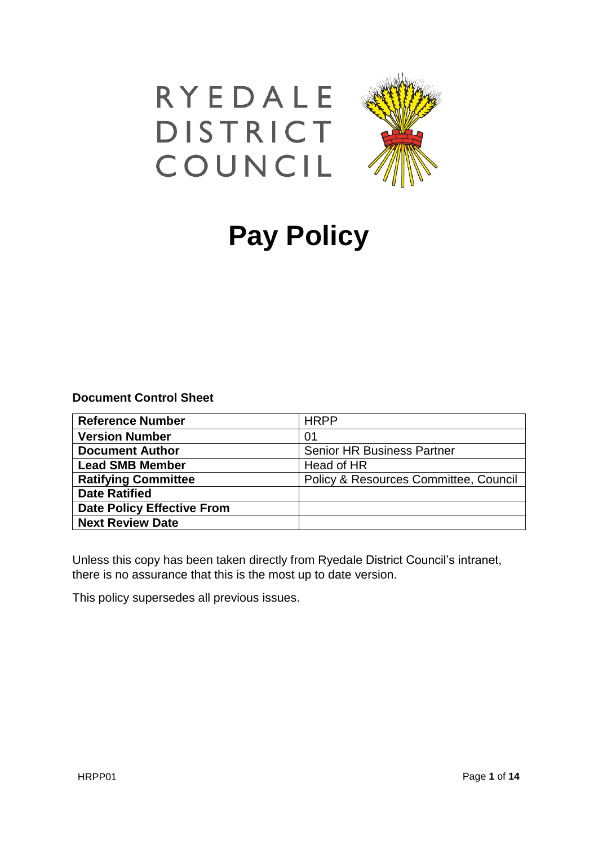



# **Pay Policy**

## **Document Control Sheet**

| <b>Reference Number</b>           | <b>HRPP</b>                           |
|-----------------------------------|---------------------------------------|
| <b>Version Number</b>             | 01                                    |
| <b>Document Author</b>            | <b>Senior HR Business Partner</b>     |
| <b>Lead SMB Member</b>            | Head of HR                            |
| <b>Ratifying Committee</b>        | Policy & Resources Committee, Council |
| <b>Date Ratified</b>              |                                       |
| <b>Date Policy Effective From</b> |                                       |
| <b>Next Review Date</b>           |                                       |

Unless this copy has been taken directly from Ryedale District Council's intranet, there is no assurance that this is the most up to date version.

This policy supersedes all previous issues.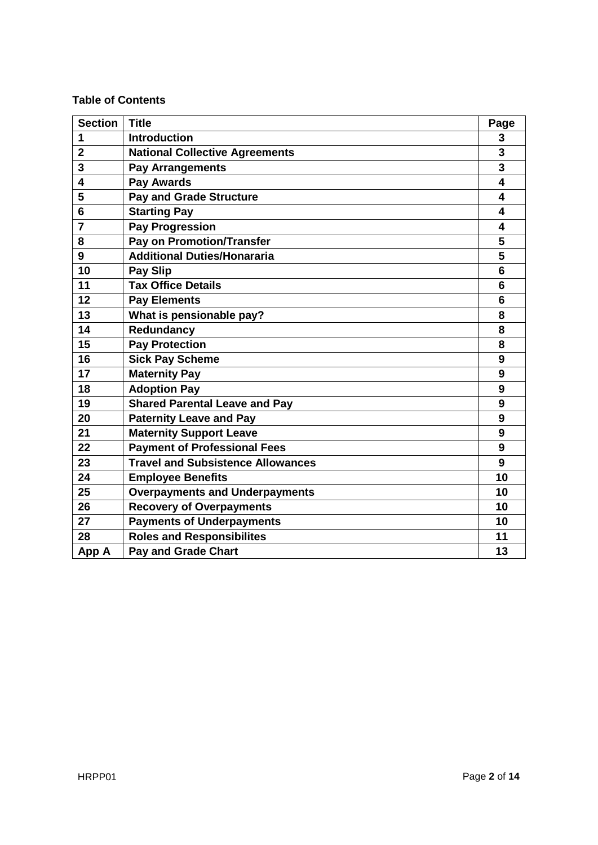## **Table of Contents**

| <b>Section</b> | <b>Title</b>                             | Page                    |
|----------------|------------------------------------------|-------------------------|
| 1              | <b>Introduction</b>                      | 3                       |
| $\overline{2}$ | <b>National Collective Agreements</b>    | 3                       |
| 3              | <b>Pay Arrangements</b>                  | 3                       |
| 4              | <b>Pay Awards</b>                        | $\overline{\mathbf{4}}$ |
| 5              | <b>Pay and Grade Structure</b>           | 4                       |
| 6              | <b>Starting Pay</b>                      | 4                       |
| $\overline{7}$ | <b>Pay Progression</b>                   | $\overline{\mathbf{4}}$ |
| 8              | <b>Pay on Promotion/Transfer</b>         | 5                       |
| 9              | <b>Additional Duties/Honararia</b>       | 5                       |
| 10             | <b>Pay Slip</b>                          | $6\phantom{1}6$         |
| 11             | <b>Tax Office Details</b>                | 6                       |
| 12             | <b>Pay Elements</b>                      | 6                       |
| 13             | What is pensionable pay?                 | 8                       |
| 14             | Redundancy                               | 8                       |
| 15             | <b>Pay Protection</b>                    | 8                       |
| 16             | <b>Sick Pay Scheme</b>                   | 9                       |
| 17             | <b>Maternity Pay</b>                     | 9                       |
| 18             | <b>Adoption Pay</b>                      | 9                       |
| 19             | <b>Shared Parental Leave and Pay</b>     | 9                       |
| 20             | <b>Paternity Leave and Pay</b>           | 9                       |
| 21             | <b>Maternity Support Leave</b>           | 9                       |
| 22             | <b>Payment of Professional Fees</b>      | 9                       |
| 23             | <b>Travel and Subsistence Allowances</b> | 9                       |
| 24             | <b>Employee Benefits</b>                 | 10                      |
| 25             | <b>Overpayments and Underpayments</b>    | 10                      |
| 26             | <b>Recovery of Overpayments</b>          | 10                      |
| 27             | <b>Payments of Underpayments</b>         | 10                      |
| 28             | <b>Roles and Responsibilites</b>         | 11                      |
| App A          | <b>Pay and Grade Chart</b>               | 13                      |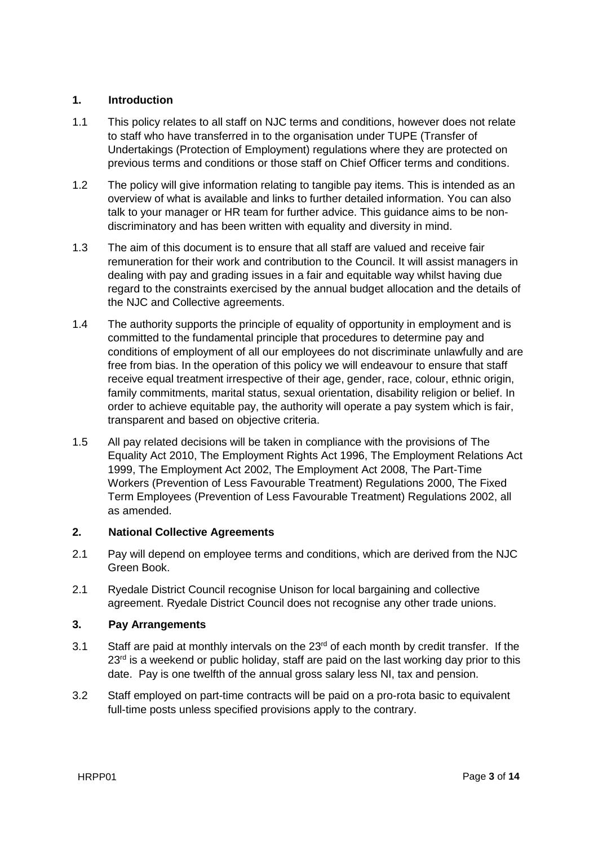## **1. Introduction**

- 1.1 This policy relates to all staff on NJC terms and conditions, however does not relate to staff who have transferred in to the organisation under TUPE (Transfer of Undertakings (Protection of Employment) regulations where they are protected on previous terms and conditions or those staff on Chief Officer terms and conditions.
- 1.2 The policy will give information relating to tangible pay items. This is intended as an overview of what is available and links to further detailed information. You can also talk to your manager or HR team for further advice. This guidance aims to be nondiscriminatory and has been written with equality and diversity in mind.
- 1.3 The aim of this document is to ensure that all staff are valued and receive fair remuneration for their work and contribution to the Council. It will assist managers in dealing with pay and grading issues in a fair and equitable way whilst having due regard to the constraints exercised by the annual budget allocation and the details of the NJC and Collective agreements.
- 1.4 The authority supports the principle of equality of opportunity in employment and is committed to the fundamental principle that procedures to determine pay and conditions of employment of all our employees do not discriminate unlawfully and are free from bias. In the operation of this policy we will endeavour to ensure that staff receive equal treatment irrespective of their age, gender, race, colour, ethnic origin, family commitments, marital status, sexual orientation, disability religion or belief. In order to achieve equitable pay, the authority will operate a pay system which is fair, transparent and based on objective criteria.
- 1.5 All pay related decisions will be taken in compliance with the provisions of The Equality Act 2010, The Employment Rights Act 1996, The Employment Relations Act 1999, The Employment Act 2002, The Employment Act 2008, The Part-Time Workers (Prevention of Less Favourable Treatment) Regulations 2000, The Fixed Term Employees (Prevention of Less Favourable Treatment) Regulations 2002, all as amended.

## **2. National Collective Agreements**

- 2.1 Pay will depend on employee terms and conditions, which are derived from the NJC Green Book.
- 2.1 Ryedale District Council recognise Unison for local bargaining and collective agreement. Ryedale District Council does not recognise any other trade unions.

## **3. Pay Arrangements**

- 3.1 Staff are paid at monthly intervals on the 23<sup>rd</sup> of each month by credit transfer. If the  $23<sup>rd</sup>$  is a weekend or public holiday, staff are paid on the last working day prior to this date. Pay is one twelfth of the annual gross salary less NI, tax and pension.
- 3.2 Staff employed on part-time contracts will be paid on a pro-rota basic to equivalent full-time posts unless specified provisions apply to the contrary.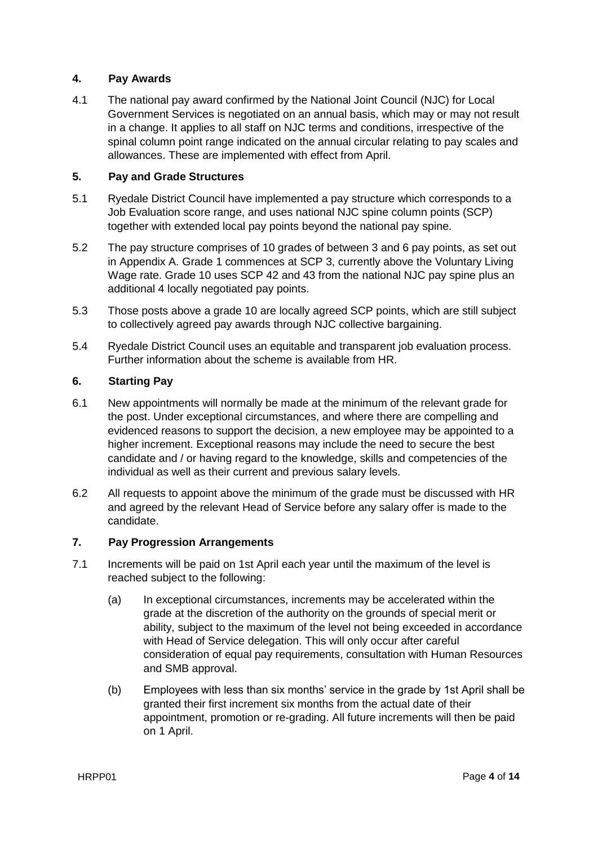## **4. Pay Awards**

4.1 The national pay award confirmed by the National Joint Council (NJC) for Local Government Services is negotiated on an annual basis, which may or may not result in a change. It applies to all staff on NJC terms and conditions, irrespective of the spinal column point range indicated on the annual circular relating to pay scales and allowances. These are implemented with effect from April.

## **5. Pay and Grade Structures**

- 5.1 Ryedale District Council have implemented a pay structure which corresponds to a Job Evaluation score range, and uses national NJC spine column points (SCP) together with extended local pay points beyond the national pay spine.
- 5.2 The pay structure comprises of 10 grades of between 3 and 6 pay points, as set out in Appendix A. Grade 1 commences at SCP 3, currently above the Voluntary Living Wage rate. Grade 10 uses SCP 42 and 43 from the national NJC pay spine plus an additional 4 locally negotiated pay points.
- 5.3 Those posts above a grade 10 are locally agreed SCP points, which are still subject to collectively agreed pay awards through NJC collective bargaining.
- 5.4 Ryedale District Council uses an equitable and transparent job evaluation process. Further information about the scheme is available from HR.

## **6. Starting Pay**

- 6.1 New appointments will normally be made at the minimum of the relevant grade for the post. Under exceptional circumstances, and where there are compelling and evidenced reasons to support the decision, a new employee may be appointed to a higher increment. Exceptional reasons may include the need to secure the best candidate and / or having regard to the knowledge, skills and competencies of the individual as well as their current and previous salary levels.
- 6.2 All requests to appoint above the minimum of the grade must be discussed with HR and agreed by the relevant Head of Service before any salary offer is made to the candidate.

## **7. Pay Progression Arrangements**

- 7.1 Increments will be paid on 1st April each year until the maximum of the level is reached subject to the following:
	- (a) In exceptional circumstances, increments may be accelerated within the grade at the discretion of the authority on the grounds of special merit or ability, subject to the maximum of the level not being exceeded in accordance with Head of Service delegation. This will only occur after careful consideration of equal pay requirements, consultation with Human Resources and SMB approval.
	- (b) Employees with less than six months' service in the grade by 1st April shall be granted their first increment six months from the actual date of their appointment, promotion or re-grading. All future increments will then be paid on 1 April.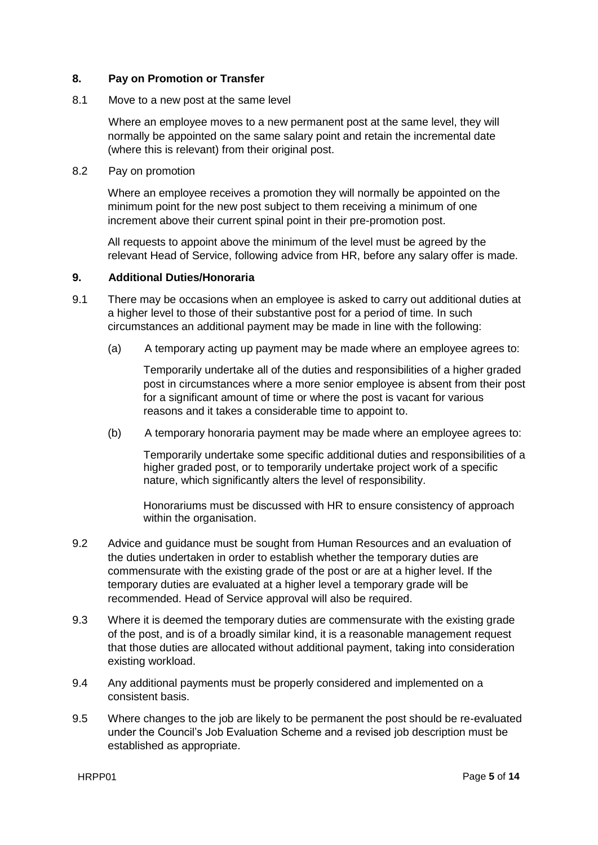## **8. Pay on Promotion or Transfer**

#### 8.1 Move to a new post at the same level

Where an employee moves to a new permanent post at the same level, they will normally be appointed on the same salary point and retain the incremental date (where this is relevant) from their original post.

8.2 Pay on promotion

Where an employee receives a promotion they will normally be appointed on the minimum point for the new post subject to them receiving a minimum of one increment above their current spinal point in their pre-promotion post.

All requests to appoint above the minimum of the level must be agreed by the relevant Head of Service, following advice from HR, before any salary offer is made.

#### **9. Additional Duties/Honoraria**

- 9.1 There may be occasions when an employee is asked to carry out additional duties at a higher level to those of their substantive post for a period of time. In such circumstances an additional payment may be made in line with the following:
	- (a) A temporary acting up payment may be made where an employee agrees to:

Temporarily undertake all of the duties and responsibilities of a higher graded post in circumstances where a more senior employee is absent from their post for a significant amount of time or where the post is vacant for various reasons and it takes a considerable time to appoint to.

(b) A temporary honoraria payment may be made where an employee agrees to:

Temporarily undertake some specific additional duties and responsibilities of a higher graded post, or to temporarily undertake project work of a specific nature, which significantly alters the level of responsibility.

Honorariums must be discussed with HR to ensure consistency of approach within the organisation.

- 9.2 Advice and guidance must be sought from Human Resources and an evaluation of the duties undertaken in order to establish whether the temporary duties are commensurate with the existing grade of the post or are at a higher level. If the temporary duties are evaluated at a higher level a temporary grade will be recommended. Head of Service approval will also be required.
- 9.3 Where it is deemed the temporary duties are commensurate with the existing grade of the post, and is of a broadly similar kind, it is a reasonable management request that those duties are allocated without additional payment, taking into consideration existing workload.
- 9.4 Any additional payments must be properly considered and implemented on a consistent basis.
- 9.5 Where changes to the job are likely to be permanent the post should be re-evaluated under the Council's Job Evaluation Scheme and a revised job description must be established as appropriate.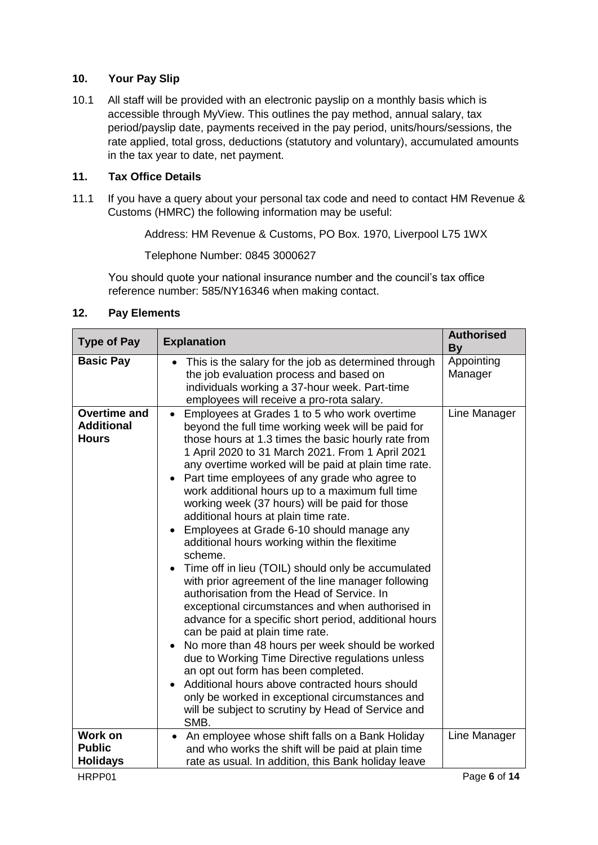## **10. Your Pay Slip**

10.1 All staff will be provided with an electronic payslip on a monthly basis which is accessible through MyView. This outlines the pay method, annual salary, tax period/payslip date, payments received in the pay period, units/hours/sessions, the rate applied, total gross, deductions (statutory and voluntary), accumulated amounts in the tax year to date, net payment.

## **11. Tax Office Details**

11.1 If you have a query about your personal tax code and need to contact HM Revenue & Customs (HMRC) the following information may be useful:

Address: HM Revenue & Customs, PO Box. 1970, Liverpool L75 1WX

Telephone Number: 0845 3000627

You should quote your national insurance number and the council's tax office reference number: 585/NY16346 when making contact.

## **12. Pay Elements**

| <b>Type of Pay</b>                                           | <b>Explanation</b>                                                                                                                                                                                                                                                                                                                                                                                                                                                                                                                                                                                                                                                                                                                                                                                                                                                                                                                                                                                                                                                                                                                                                                                                                                          | <b>Authorised</b><br><b>By</b> |
|--------------------------------------------------------------|-------------------------------------------------------------------------------------------------------------------------------------------------------------------------------------------------------------------------------------------------------------------------------------------------------------------------------------------------------------------------------------------------------------------------------------------------------------------------------------------------------------------------------------------------------------------------------------------------------------------------------------------------------------------------------------------------------------------------------------------------------------------------------------------------------------------------------------------------------------------------------------------------------------------------------------------------------------------------------------------------------------------------------------------------------------------------------------------------------------------------------------------------------------------------------------------------------------------------------------------------------------|--------------------------------|
| <b>Basic Pay</b>                                             | This is the salary for the job as determined through<br>the job evaluation process and based on<br>individuals working a 37-hour week. Part-time<br>employees will receive a pro-rota salary.                                                                                                                                                                                                                                                                                                                                                                                                                                                                                                                                                                                                                                                                                                                                                                                                                                                                                                                                                                                                                                                               | Appointing<br>Manager          |
| <b>Overtime and</b><br><b>Additional</b><br><b>Hours</b>     | Employees at Grades 1 to 5 who work overtime<br>$\bullet$<br>beyond the full time working week will be paid for<br>those hours at 1.3 times the basic hourly rate from<br>1 April 2020 to 31 March 2021. From 1 April 2021<br>any overtime worked will be paid at plain time rate.<br>Part time employees of any grade who agree to<br>$\bullet$<br>work additional hours up to a maximum full time<br>working week (37 hours) will be paid for those<br>additional hours at plain time rate.<br>Employees at Grade 6-10 should manage any<br>$\bullet$<br>additional hours working within the flexitime<br>scheme.<br>Time off in lieu (TOIL) should only be accumulated<br>with prior agreement of the line manager following<br>authorisation from the Head of Service. In<br>exceptional circumstances and when authorised in<br>advance for a specific short period, additional hours<br>can be paid at plain time rate.<br>No more than 48 hours per week should be worked<br>$\bullet$<br>due to Working Time Directive regulations unless<br>an opt out form has been completed.<br>Additional hours above contracted hours should<br>only be worked in exceptional circumstances and<br>will be subject to scrutiny by Head of Service and<br>SMB. | Line Manager                   |
| <b>Work on</b><br><b>Public</b><br><b>Holidays</b><br>HRPP01 | An employee whose shift falls on a Bank Holiday<br>$\bullet$<br>and who works the shift will be paid at plain time<br>rate as usual. In addition, this Bank holiday leave                                                                                                                                                                                                                                                                                                                                                                                                                                                                                                                                                                                                                                                                                                                                                                                                                                                                                                                                                                                                                                                                                   | Line Manager<br>Page 6 of 14   |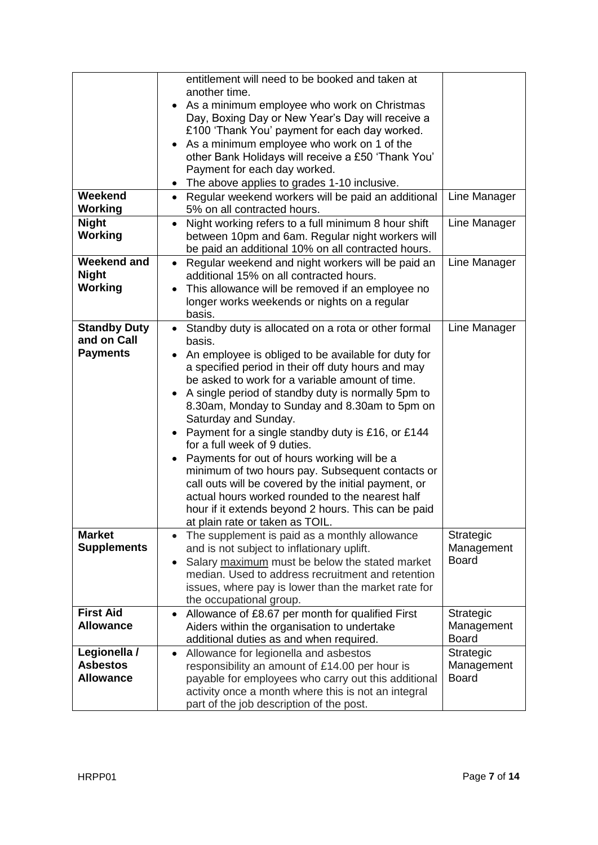|                                                       | entitlement will need to be booked and taken at<br>another time.<br>As a minimum employee who work on Christmas<br>Day, Boxing Day or New Year's Day will receive a<br>£100 'Thank You' payment for each day worked.<br>As a minimum employee who work on 1 of the                                                                                                                                                                                                                                                                                                                                                                                                                                                                                                     |                                         |
|-------------------------------------------------------|------------------------------------------------------------------------------------------------------------------------------------------------------------------------------------------------------------------------------------------------------------------------------------------------------------------------------------------------------------------------------------------------------------------------------------------------------------------------------------------------------------------------------------------------------------------------------------------------------------------------------------------------------------------------------------------------------------------------------------------------------------------------|-----------------------------------------|
|                                                       | other Bank Holidays will receive a £50 'Thank You'<br>Payment for each day worked.<br>The above applies to grades 1-10 inclusive.                                                                                                                                                                                                                                                                                                                                                                                                                                                                                                                                                                                                                                      |                                         |
| Weekend<br>Working                                    | Regular weekend workers will be paid an additional<br>$\bullet$<br>5% on all contracted hours.                                                                                                                                                                                                                                                                                                                                                                                                                                                                                                                                                                                                                                                                         | Line Manager                            |
| <b>Night</b><br>Working                               | Night working refers to a full minimum 8 hour shift<br>$\bullet$<br>between 10pm and 6am. Regular night workers will<br>be paid an additional 10% on all contracted hours.                                                                                                                                                                                                                                                                                                                                                                                                                                                                                                                                                                                             | Line Manager                            |
| <b>Weekend and</b><br><b>Night</b><br><b>Working</b>  | Regular weekend and night workers will be paid an<br>additional 15% on all contracted hours.<br>This allowance will be removed if an employee no<br>longer works weekends or nights on a regular<br>basis.                                                                                                                                                                                                                                                                                                                                                                                                                                                                                                                                                             | Line Manager                            |
| <b>Standby Duty</b><br>and on Call<br><b>Payments</b> | Standby duty is allocated on a rota or other formal<br>basis.<br>An employee is obliged to be available for duty for<br>a specified period in their off duty hours and may<br>be asked to work for a variable amount of time.<br>A single period of standby duty is normally 5pm to<br>8.30am, Monday to Sunday and 8.30am to 5pm on<br>Saturday and Sunday.<br>Payment for a single standby duty is £16, or £144<br>$\bullet$<br>for a full week of 9 duties.<br>Payments for out of hours working will be a<br>minimum of two hours pay. Subsequent contacts or<br>call outs will be covered by the initial payment, or<br>actual hours worked rounded to the nearest half<br>hour if it extends beyond 2 hours. This can be paid<br>at plain rate or taken as TOIL. | Line Manager                            |
| <b>Market</b><br><b>Supplements</b>                   | The supplement is paid as a monthly allowance<br>$\bullet$<br>and is not subject to inflationary uplift.<br>Salary maximum must be below the stated market<br>$\bullet$<br>median. Used to address recruitment and retention<br>issues, where pay is lower than the market rate for<br>the occupational group.                                                                                                                                                                                                                                                                                                                                                                                                                                                         | Strategic<br>Management<br><b>Board</b> |
| <b>First Aid</b><br><b>Allowance</b>                  | Allowance of £8.67 per month for qualified First<br>$\bullet$<br>Aiders within the organisation to undertake<br>additional duties as and when required.                                                                                                                                                                                                                                                                                                                                                                                                                                                                                                                                                                                                                | Strategic<br>Management<br><b>Board</b> |
| Legionella /<br><b>Asbestos</b><br><b>Allowance</b>   | Allowance for legionella and asbestos<br>$\bullet$<br>responsibility an amount of £14.00 per hour is<br>payable for employees who carry out this additional<br>activity once a month where this is not an integral<br>part of the job description of the post.                                                                                                                                                                                                                                                                                                                                                                                                                                                                                                         | Strategic<br>Management<br><b>Board</b> |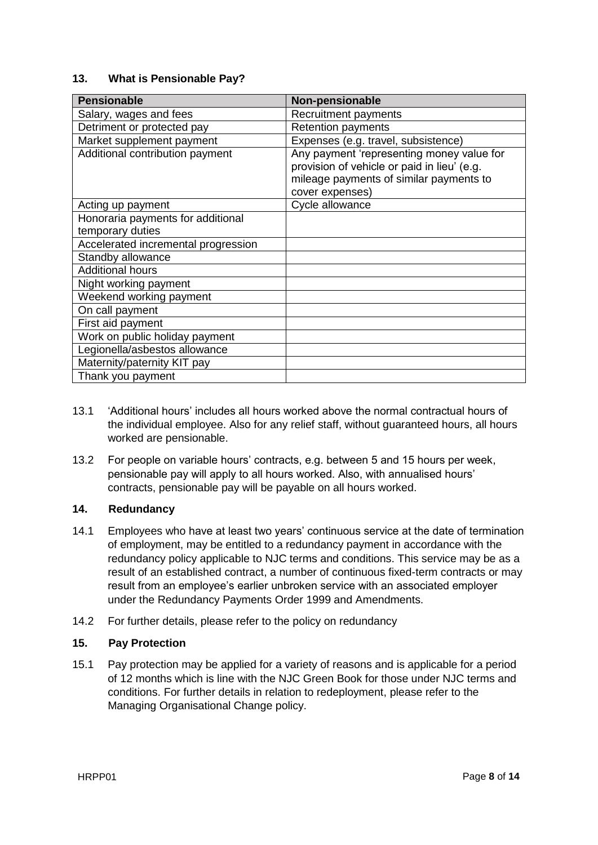## **13. What is Pensionable Pay?**

| <b>Pensionable</b>                                    | Non-pensionable                                                                                                                                        |
|-------------------------------------------------------|--------------------------------------------------------------------------------------------------------------------------------------------------------|
| Salary, wages and fees                                | Recruitment payments                                                                                                                                   |
| Detriment or protected pay                            | <b>Retention payments</b>                                                                                                                              |
| Market supplement payment                             | Expenses (e.g. travel, subsistence)                                                                                                                    |
| Additional contribution payment                       | Any payment 'representing money value for<br>provision of vehicle or paid in lieu' (e.g.<br>mileage payments of similar payments to<br>cover expenses) |
| Acting up payment                                     | Cycle allowance                                                                                                                                        |
| Honoraria payments for additional<br>temporary duties |                                                                                                                                                        |
| Accelerated incremental progression                   |                                                                                                                                                        |
| Standby allowance                                     |                                                                                                                                                        |
| <b>Additional hours</b>                               |                                                                                                                                                        |
| Night working payment                                 |                                                                                                                                                        |
| Weekend working payment                               |                                                                                                                                                        |
| On call payment                                       |                                                                                                                                                        |
| First aid payment                                     |                                                                                                                                                        |
| Work on public holiday payment                        |                                                                                                                                                        |
| Legionella/asbestos allowance                         |                                                                                                                                                        |
| Maternity/paternity KIT pay                           |                                                                                                                                                        |
| Thank you payment                                     |                                                                                                                                                        |

- 13.1 'Additional hours' includes all hours worked above the normal contractual hours of the individual employee. Also for any relief staff, without guaranteed hours, all hours worked are pensionable.
- 13.2 For people on variable hours' contracts, e.g. between 5 and 15 hours per week, pensionable pay will apply to all hours worked. Also, with annualised hours' contracts, pensionable pay will be payable on all hours worked.

## **14. Redundancy**

- 14.1 Employees who have at least two years' continuous service at the date of termination of employment, may be entitled to a redundancy payment in accordance with the redundancy policy applicable to NJC terms and conditions. This service may be as a result of an established contract, a number of continuous fixed-term contracts or may result from an employee's earlier unbroken service with an associated employer under the Redundancy Payments Order 1999 and Amendments.
- 14.2 For further details, please refer to the policy on redundancy

## **15. Pay Protection**

15.1 Pay protection may be applied for a variety of reasons and is applicable for a period of 12 months which is line with the NJC Green Book for those under NJC terms and conditions. For further details in relation to redeployment, please refer to the Managing Organisational Change policy.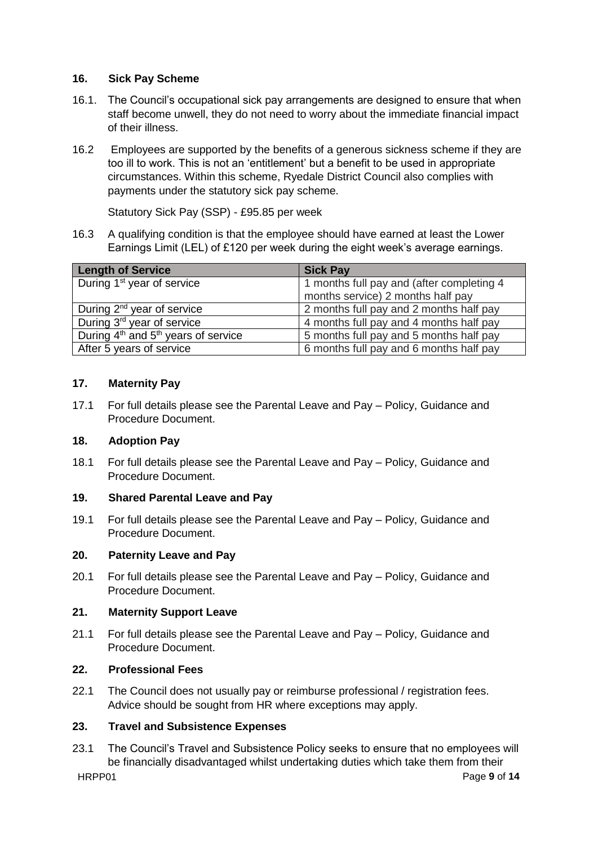## **16. Sick Pay Scheme**

- 16.1. The Council's occupational sick pay arrangements are designed to ensure that when staff become unwell, they do not need to worry about the immediate financial impact of their illness.
- 16.2 Employees are supported by the benefits of a generous sickness scheme if they are too ill to work. This is not an 'entitlement' but a benefit to be used in appropriate circumstances. Within this scheme, Ryedale District Council also complies with payments under the statutory sick pay scheme.

Statutory Sick Pay (SSP) - £95.85 per week

16.3 A qualifying condition is that the employee should have earned at least the Lower Earnings Limit (LEL) of £120 per week during the eight week's average earnings.

| Length of Service                       | <b>Sick Pay</b>                           |
|-----------------------------------------|-------------------------------------------|
| During 1 <sup>st</sup> year of service  | 1 months full pay and (after completing 4 |
|                                         | months service) 2 months half pay         |
| During 2 <sup>nd</sup> year of service  | 2 months full pay and 2 months half pay   |
| During 3 <sup>rd</sup> year of service  | 4 months full pay and 4 months half pay   |
| During $4th$ and $5th$ years of service | 5 months full pay and 5 months half pay   |
| After 5 years of service                | 6 months full pay and 6 months half pay   |

## **17. Maternity Pay**

17.1 For full details please see the Parental Leave and Pay – Policy, Guidance and Procedure Document.

## **18. Adoption Pay**

18.1 For full details please see the Parental Leave and Pay – Policy, Guidance and Procedure Document.

## **19. Shared Parental Leave and Pay**

19.1 For full details please see the Parental Leave and Pay – Policy, Guidance and Procedure Document.

## **20. Paternity Leave and Pay**

20.1 For full details please see the Parental Leave and Pay – Policy, Guidance and Procedure Document.

## **21. Maternity Support Leave**

21.1 For full details please see the Parental Leave and Pay – Policy, Guidance and Procedure Document.

## **22. Professional Fees**

22.1 The Council does not usually pay or reimburse professional / registration fees. Advice should be sought from HR where exceptions may apply.

## **23. Travel and Subsistence Expenses**

HRPP01 Page **9** of **14** 23.1 The Council's Travel and Subsistence Policy seeks to ensure that no employees will be financially disadvantaged whilst undertaking duties which take them from their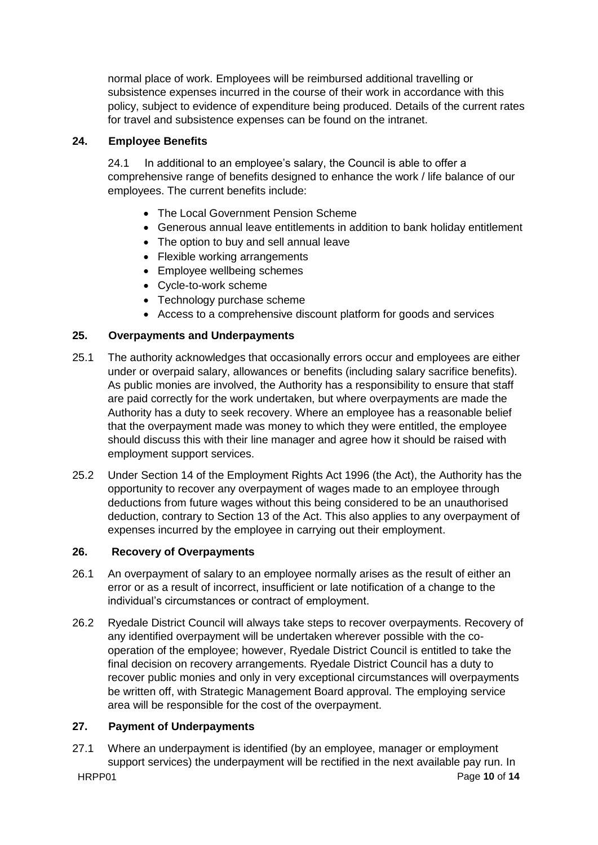normal place of work. Employees will be reimbursed additional travelling or subsistence expenses incurred in the course of their work in accordance with this policy, subject to evidence of expenditure being produced. Details of the current rates for travel and subsistence expenses can be found on the intranet.

## **24. Employee Benefits**

24.1 In additional to an employee's salary, the Council is able to offer a comprehensive range of benefits designed to enhance the work / life balance of our employees. The current benefits include:

- The Local Government Pension Scheme
- Generous annual leave entitlements in addition to bank holiday entitlement
- The option to buy and sell annual leave
- Flexible working arrangements
- Employee wellbeing schemes
- Cycle-to-work scheme
- Technology purchase scheme
- Access to a comprehensive discount platform for goods and services

## **25. Overpayments and Underpayments**

- 25.1 The authority acknowledges that occasionally errors occur and employees are either under or overpaid salary, allowances or benefits (including salary sacrifice benefits). As public monies are involved, the Authority has a responsibility to ensure that staff are paid correctly for the work undertaken, but where overpayments are made the Authority has a duty to seek recovery. Where an employee has a reasonable belief that the overpayment made was money to which they were entitled, the employee should discuss this with their line manager and agree how it should be raised with employment support services.
- 25.2 Under Section 14 of the Employment Rights Act 1996 (the Act), the Authority has the opportunity to recover any overpayment of wages made to an employee through deductions from future wages without this being considered to be an unauthorised deduction, contrary to Section 13 of the Act. This also applies to any overpayment of expenses incurred by the employee in carrying out their employment.

## **26. Recovery of Overpayments**

- 26.1 An overpayment of salary to an employee normally arises as the result of either an error or as a result of incorrect, insufficient or late notification of a change to the individual's circumstances or contract of employment.
- 26.2 Ryedale District Council will always take steps to recover overpayments. Recovery of any identified overpayment will be undertaken wherever possible with the cooperation of the employee; however, Ryedale District Council is entitled to take the final decision on recovery arrangements. Ryedale District Council has a duty to recover public monies and only in very exceptional circumstances will overpayments be written off, with Strategic Management Board approval. The employing service area will be responsible for the cost of the overpayment.

## **27. Payment of Underpayments**

HRPP01 Page **10** of **14** 27.1 Where an underpayment is identified (by an employee, manager or employment support services) the underpayment will be rectified in the next available pay run. In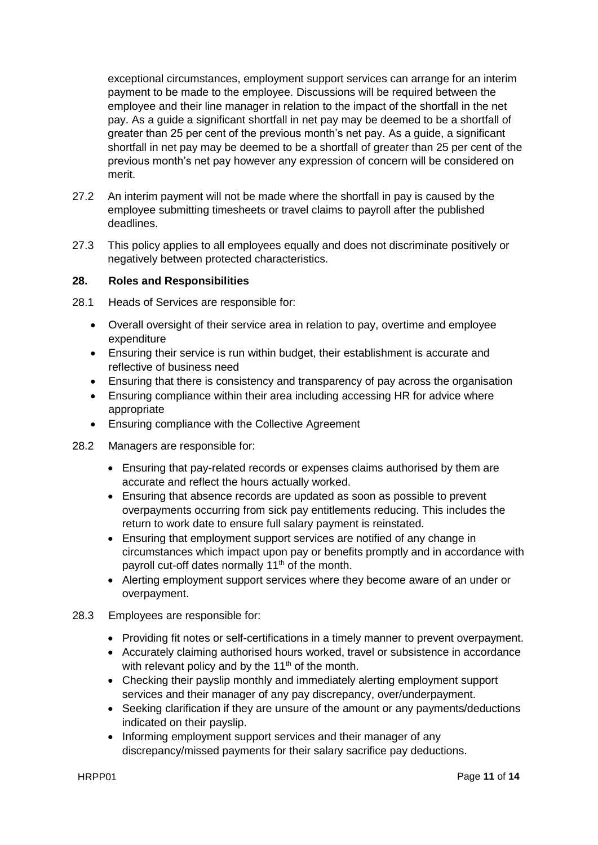exceptional circumstances, employment support services can arrange for an interim payment to be made to the employee. Discussions will be required between the employee and their line manager in relation to the impact of the shortfall in the net pay. As a guide a significant shortfall in net pay may be deemed to be a shortfall of greater than 25 per cent of the previous month's net pay. As a guide, a significant shortfall in net pay may be deemed to be a shortfall of greater than 25 per cent of the previous month's net pay however any expression of concern will be considered on merit.

- 27.2 An interim payment will not be made where the shortfall in pay is caused by the employee submitting timesheets or travel claims to payroll after the published deadlines.
- 27.3 This policy applies to all employees equally and does not discriminate positively or negatively between protected characteristics.

#### **28. Roles and Responsibilities**

28.1 Heads of Services are responsible for:

- Overall oversight of their service area in relation to pay, overtime and employee expenditure
- Ensuring their service is run within budget, their establishment is accurate and reflective of business need
- Ensuring that there is consistency and transparency of pay across the organisation
- Ensuring compliance within their area including accessing HR for advice where appropriate
- Ensuring compliance with the Collective Agreement
- 28.2 Managers are responsible for:
	- Ensuring that pay-related records or expenses claims authorised by them are accurate and reflect the hours actually worked.
	- Ensuring that absence records are updated as soon as possible to prevent overpayments occurring from sick pay entitlements reducing. This includes the return to work date to ensure full salary payment is reinstated.
	- Ensuring that employment support services are notified of any change in circumstances which impact upon pay or benefits promptly and in accordance with payroll cut-off dates normally 11<sup>th</sup> of the month.
	- Alerting employment support services where they become aware of an under or overpayment.
- 28.3 Employees are responsible for:
	- Providing fit notes or self-certifications in a timely manner to prevent overpayment.
	- Accurately claiming authorised hours worked, travel or subsistence in accordance with relevant policy and by the  $11<sup>th</sup>$  of the month.
	- Checking their payslip monthly and immediately alerting employment support services and their manager of any pay discrepancy, over/underpayment.
	- Seeking clarification if they are unsure of the amount or any payments/deductions indicated on their payslip.
	- Informing employment support services and their manager of any discrepancy/missed payments for their salary sacrifice pay deductions.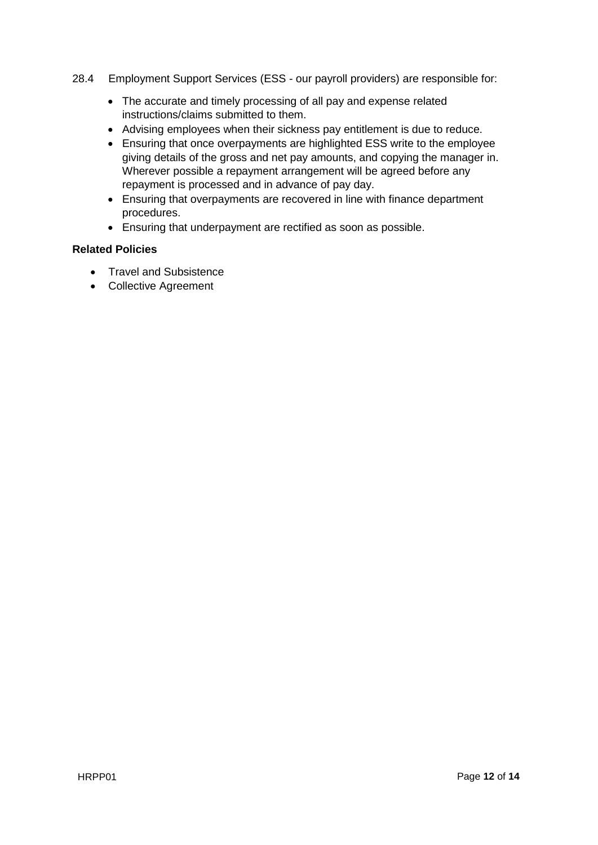- 28.4 Employment Support Services (ESS our payroll providers) are responsible for:
	- The accurate and timely processing of all pay and expense related instructions/claims submitted to them.
	- Advising employees when their sickness pay entitlement is due to reduce.
	- Ensuring that once overpayments are highlighted ESS write to the employee giving details of the gross and net pay amounts, and copying the manager in. Wherever possible a repayment arrangement will be agreed before any repayment is processed and in advance of pay day.
	- Ensuring that overpayments are recovered in line with finance department procedures.
	- Ensuring that underpayment are rectified as soon as possible.

## **Related Policies**

- Travel and Subsistence
- Collective Agreement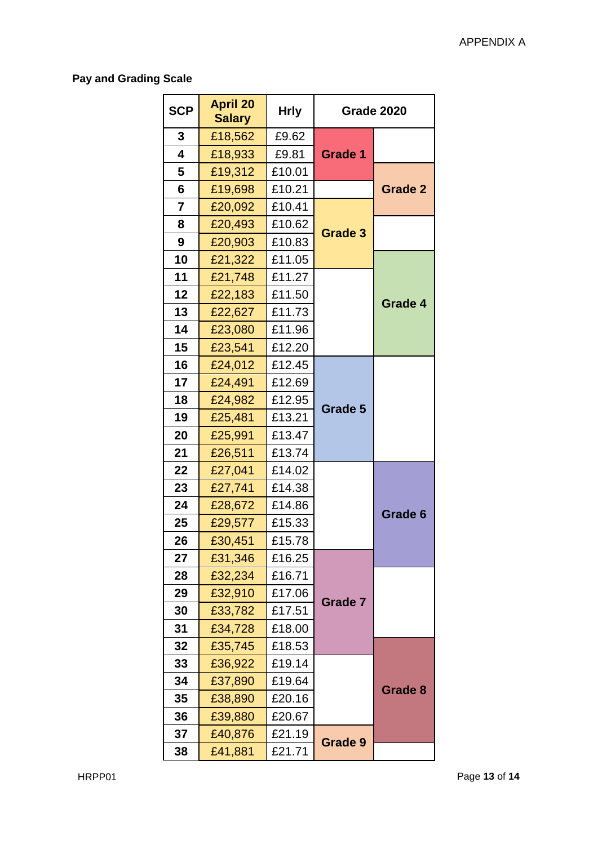# **Pay and Grading Scale**

| <b>SCP</b> | <b>April 20</b><br><b>Salary</b> | <b>Hrly</b> | <b>Grade 2020</b> |                |
|------------|----------------------------------|-------------|-------------------|----------------|
| 3          | £18,562                          | £9.62       |                   |                |
| 4          | £18,933                          | £9.81       | <b>Grade 1</b>    |                |
| 5          | £19,312                          | £10.01      |                   |                |
| 6          | £19,698                          | £10.21      |                   | <b>Grade 2</b> |
| 7          | £20,092                          | £10.41      |                   |                |
| 8          | £20,493                          | £10.62      | <b>Grade 3</b>    |                |
| 9          | £20,903                          | £10.83      |                   |                |
| 10         | £21,322                          | £11.05      |                   |                |
| 11         | £21,748                          | £11.27      |                   |                |
| 12         | £22,183                          | £11.50      |                   | Grade 4        |
| 13         | £22,627                          | £11.73      |                   |                |
| 14         | £23,080                          | £11.96      |                   |                |
| 15         | £23,541                          | £12.20      |                   |                |
| 16         | £24,012                          | £12.45      |                   |                |
| 17         | £24,491                          | £12.69      |                   |                |
| 18         | £24,982                          | £12.95      | Grade 5           |                |
| 19         | £25,481                          | £13.21      |                   |                |
| 20         | £25,991                          | £13.47      |                   |                |
| 21         | £26,511                          | £13.74      |                   |                |
| 22         | £27,041                          | £14.02      |                   |                |
| 23         | £27,741                          | £14.38      |                   |                |
| 24         | £28,672                          | £14.86      |                   | Grade 6        |
| 25         | £29,577                          | £15.33      |                   |                |
| 26         | £30,451                          | £15.78      |                   |                |
| 27         | £31,346                          | £16.25      |                   |                |
| 28         | £32,234                          | £16.71      |                   |                |
| 29         | £32,910                          | £17.06      | <b>Grade 7</b>    |                |
| 30         | £33,782                          | £17.51      |                   |                |
| 31         | £34,728                          | £18.00      |                   |                |
| 32         | £35,745                          | £18.53      |                   |                |
| 33         | £36,922                          | £19.14      |                   |                |
| 34         | £37,890                          | £19.64      |                   | Grade 8        |
| 35         | £38,890                          | £20.16      |                   |                |
| 36         | £39,880                          | £20.67      |                   |                |
| 37         | £40,876                          | £21.19      | Grade 9           |                |
| 38         | £41,881                          | £21.71      |                   |                |